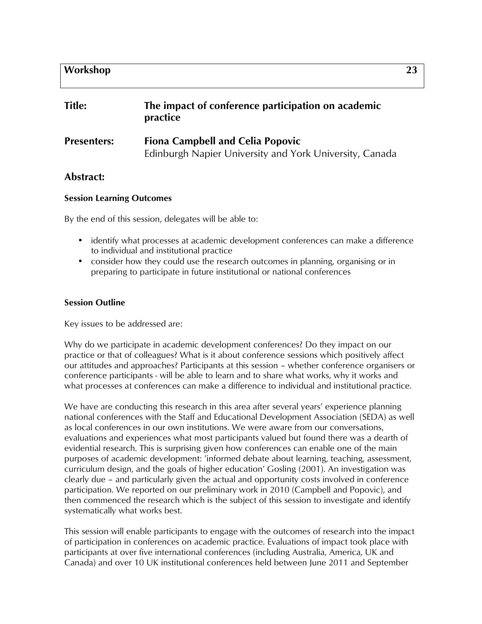# **Workshop 23**

| <b>Title:</b>      | The impact of conference participation on academic<br>practice                                     |
|--------------------|----------------------------------------------------------------------------------------------------|
| <b>Presenters:</b> | <b>Fiona Campbell and Celia Popovic</b><br>Edinburgh Napier University and York University, Canada |

## **Abstract:**

#### **Session Learning Outcomes**

By the end of this session, delegates will be able to:

- identify what processes at academic development conferences can make a difference to individual and institutional practice
- consider how they could use the research outcomes in planning, organising or in preparing to participate in future institutional or national conferences

#### **Session Outline**

Key issues to be addressed are:

Why do we participate in academic development conferences? Do they impact on our practice or that of colleagues? What is it about conference sessions which positively affect our attitudes and approaches? Participants at this session – whether conference organisers or conference participants - will be able to learn and to share what works, why it works and what processes at conferences can make a difference to individual and institutional practice.

We have are conducting this research in this area after several years' experience planning national conferences with the Staff and Educational Development Association (SEDA) as well as local conferences in our own institutions. We were aware from our conversations, evaluations and experiences what most participants valued but found there was a dearth of evidential research. This is surprising given how conferences can enable one of the main purposes of academic development: 'informed debate about learning, teaching, assessment, curriculum design, and the goals of higher education' Gosling (2001). An investigation was clearly due – and particularly given the actual and opportunity costs involved in conference participation. We reported on our preliminary work in 2010 (Campbell and Popovic), and then commenced the research which is the subject of this session to investigate and identify systematically what works best.

This session will enable participants to engage with the outcomes of research into the impact of participation in conferences on academic practice. Evaluations of impact took place with participants at over five international conferences (including Australia, America, UK and Canada) and over 10 UK institutional conferences held between June 2011 and September